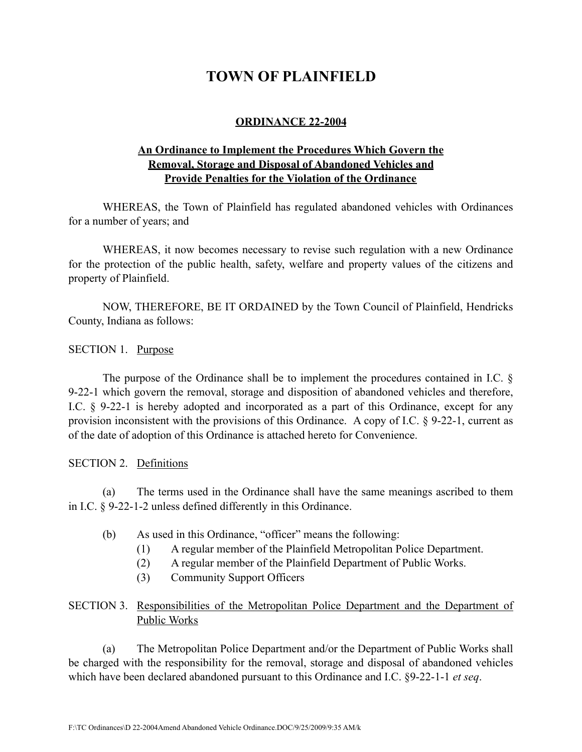# **TOWN OF PLAINFIELD**

## **ORDINANCE 22-2004**

## **An Ordinance to Implement the Procedures Which Govern the Removal, Storage and Disposal of Abandoned Vehicles and Provide Penalties for the Violation of the Ordinance**

 WHEREAS, the Town of Plainfield has regulated abandoned vehicles with Ordinances for a number of years; and

 WHEREAS, it now becomes necessary to revise such regulation with a new Ordinance for the protection of the public health, safety, welfare and property values of the citizens and property of Plainfield.

 NOW, THEREFORE, BE IT ORDAINED by the Town Council of Plainfield, Hendricks County, Indiana as follows:

## SECTION 1. Purpose

 The purpose of the Ordinance shall be to implement the procedures contained in I.C. § 9-22-1 which govern the removal, storage and disposition of abandoned vehicles and therefore, I.C. § 9-22-1 is hereby adopted and incorporated as a part of this Ordinance, except for any provision inconsistent with the provisions of this Ordinance. A copy of I.C. § 9-22-1, current as of the date of adoption of this Ordinance is attached hereto for Convenience.

### SECTION 2. Definitions

 (a) The terms used in the Ordinance shall have the same meanings ascribed to them in I.C. § 9-22-1-2 unless defined differently in this Ordinance.

- (b) As used in this Ordinance, "officer" means the following:
	- (1) A regular member of the Plainfield Metropolitan Police Department.
	- (2) A regular member of the Plainfield Department of Public Works.
	- (3) Community Support Officers

## SECTION 3. Responsibilities of the Metropolitan Police Department and the Department of Public Works

 (a) The Metropolitan Police Department and/or the Department of Public Works shall be charged with the responsibility for the removal, storage and disposal of abandoned vehicles which have been declared abandoned pursuant to this Ordinance and I.C. §9-22-1-1 *et seq*.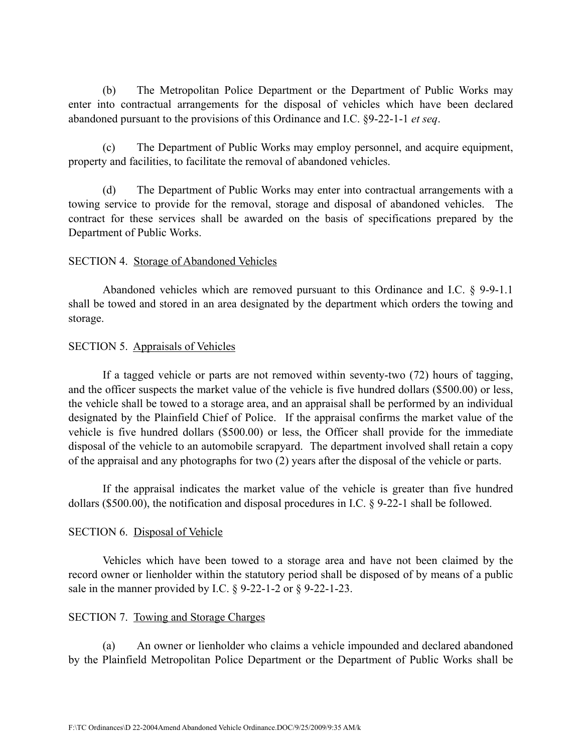(b) The Metropolitan Police Department or the Department of Public Works may enter into contractual arrangements for the disposal of vehicles which have been declared abandoned pursuant to the provisions of this Ordinance and I.C. §9-22-1-1 *et seq*.

 (c) The Department of Public Works may employ personnel, and acquire equipment, property and facilities, to facilitate the removal of abandoned vehicles.

 (d) The Department of Public Works may enter into contractual arrangements with a towing service to provide for the removal, storage and disposal of abandoned vehicles. The contract for these services shall be awarded on the basis of specifications prepared by the Department of Public Works.

### SECTION 4. Storage of Abandoned Vehicles

 Abandoned vehicles which are removed pursuant to this Ordinance and I.C. § 9-9-1.1 shall be towed and stored in an area designated by the department which orders the towing and storage.

### SECTION 5. Appraisals of Vehicles

 If a tagged vehicle or parts are not removed within seventy-two (72) hours of tagging, and the officer suspects the market value of the vehicle is five hundred dollars (\$500.00) or less, the vehicle shall be towed to a storage area, and an appraisal shall be performed by an individual designated by the Plainfield Chief of Police. If the appraisal confirms the market value of the vehicle is five hundred dollars (\$500.00) or less, the Officer shall provide for the immediate disposal of the vehicle to an automobile scrapyard. The department involved shall retain a copy of the appraisal and any photographs for two (2) years after the disposal of the vehicle or parts.

 If the appraisal indicates the market value of the vehicle is greater than five hundred dollars (\$500.00), the notification and disposal procedures in I.C. § 9-22-1 shall be followed.

## SECTION 6. Disposal of Vehicle

 Vehicles which have been towed to a storage area and have not been claimed by the record owner or lienholder within the statutory period shall be disposed of by means of a public sale in the manner provided by I.C. § 9-22-1-2 or § 9-22-1-23.

## SECTION 7. Towing and Storage Charges

 (a) An owner or lienholder who claims a vehicle impounded and declared abandoned by the Plainfield Metropolitan Police Department or the Department of Public Works shall be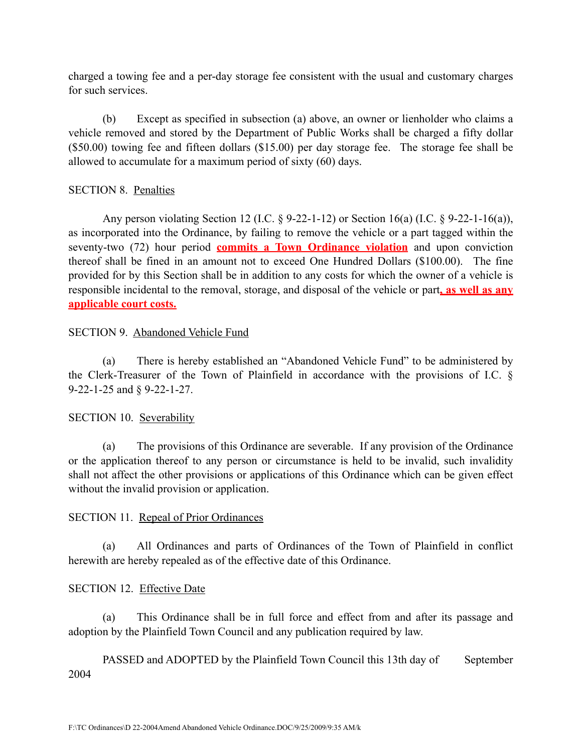charged a towing fee and a per-day storage fee consistent with the usual and customary charges for such services.

 (b) Except as specified in subsection (a) above, an owner or lienholder who claims a vehicle removed and stored by the Department of Public Works shall be charged a fifty dollar (\$50.00) towing fee and fifteen dollars (\$15.00) per day storage fee. The storage fee shall be allowed to accumulate for a maximum period of sixty (60) days.

## SECTION 8. Penalties

 Any person violating Section 12 (I.C. § 9-22-1-12) or Section 16(a) (I.C. § 9-22-1-16(a)), as incorporated into the Ordinance, by failing to remove the vehicle or a part tagged within the seventy-two (72) hour period **commits a Town Ordinance violation** and upon conviction thereof shall be fined in an amount not to exceed One Hundred Dollars (\$100.00). The fine provided for by this Section shall be in addition to any costs for which the owner of a vehicle is responsible incidental to the removal, storage, and disposal of the vehicle or part**, as well as any applicable court costs.**

## SECTION 9. Abandoned Vehicle Fund

 (a) There is hereby established an "Abandoned Vehicle Fund" to be administered by the Clerk-Treasurer of the Town of Plainfield in accordance with the provisions of I.C. § 9-22-1-25 and § 9-22-1-27.

## SECTION 10. Severability

 (a) The provisions of this Ordinance are severable. If any provision of the Ordinance or the application thereof to any person or circumstance is held to be invalid, such invalidity shall not affect the other provisions or applications of this Ordinance which can be given effect without the invalid provision or application.

## SECTION 11. Repeal of Prior Ordinances

 (a) All Ordinances and parts of Ordinances of the Town of Plainfield in conflict herewith are hereby repealed as of the effective date of this Ordinance.

## SECTION 12. Effective Date

 (a) This Ordinance shall be in full force and effect from and after its passage and adoption by the Plainfield Town Council and any publication required by law.

PASSED and ADOPTED by the Plainfield Town Council this 13th day of September 2004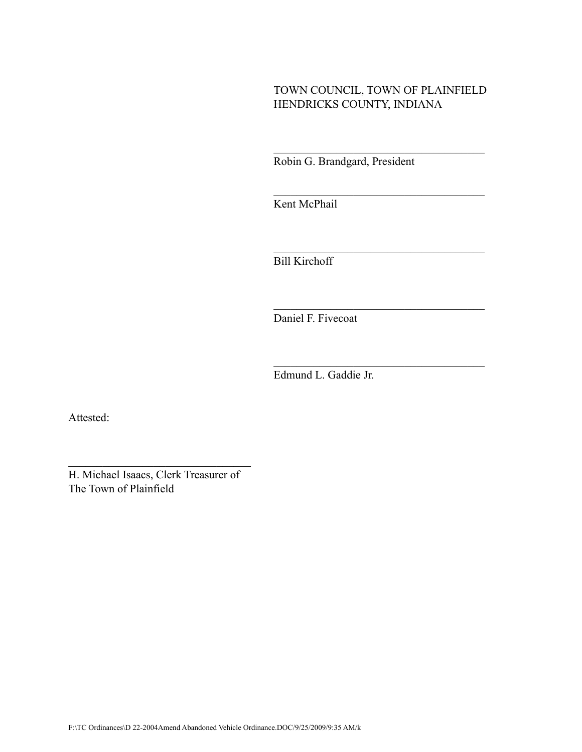## TOWN COUNCIL, TOWN OF PLAINFIELD HENDRICKS COUNTY, INDIANA

Robin G. Brandgard, President

Kent McPhail

 $\mathcal{L}_\text{max}$  and  $\mathcal{L}_\text{max}$  and  $\mathcal{L}_\text{max}$  and  $\mathcal{L}_\text{max}$  and  $\mathcal{L}_\text{max}$  and  $\mathcal{L}_\text{max}$ 

 $\mathcal{L}_\text{max}$  and  $\mathcal{L}_\text{max}$  and  $\mathcal{L}_\text{max}$  and  $\mathcal{L}_\text{max}$  and  $\mathcal{L}_\text{max}$  and  $\mathcal{L}_\text{max}$ 

 $\mathcal{L}_\text{max}$  and  $\mathcal{L}_\text{max}$  and  $\mathcal{L}_\text{max}$  and  $\mathcal{L}_\text{max}$  and  $\mathcal{L}_\text{max}$  and  $\mathcal{L}_\text{max}$ 

 $\mathcal{L}_\text{max}$  and  $\mathcal{L}_\text{max}$  and  $\mathcal{L}_\text{max}$  and  $\mathcal{L}_\text{max}$  and  $\mathcal{L}_\text{max}$  and  $\mathcal{L}_\text{max}$ 

 $\mathcal{L}_\text{max}$  and  $\mathcal{L}_\text{max}$  and  $\mathcal{L}_\text{max}$  and  $\mathcal{L}_\text{max}$  and  $\mathcal{L}_\text{max}$  and  $\mathcal{L}_\text{max}$ 

Bill Kirchoff

Daniel F. Fivecoat

Edmund L. Gaddie Jr.

Attested:

H. Michael Isaacs, Clerk Treasurer of The Town of Plainfield

 $\mathcal{L}_\text{max}$  , and the set of the set of the set of the set of the set of the set of the set of the set of the set of the set of the set of the set of the set of the set of the set of the set of the set of the set of the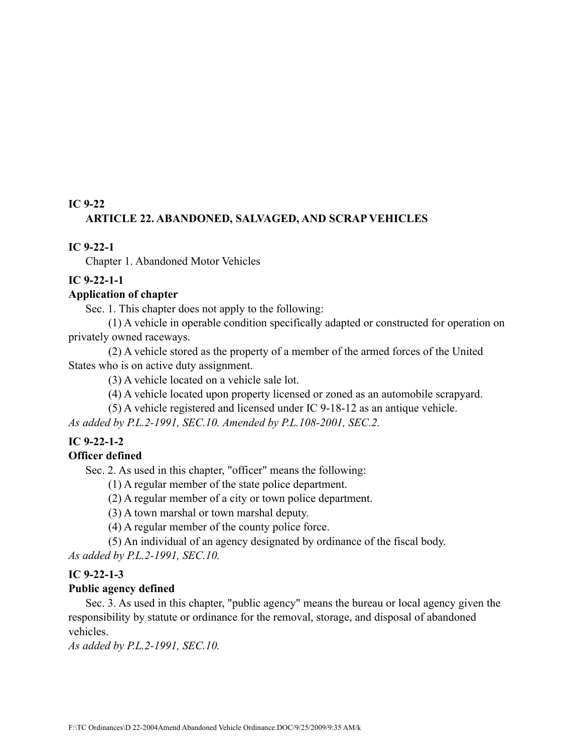## **IC 9-22 ARTICLE 22. ABANDONED, SALVAGED, AND SCRAP VEHICLES**

## **IC 9-22-1**

Chapter 1. Abandoned Motor Vehicles

## **IC 9-22-1-1**

## **Application of chapter**

Sec. 1. This chapter does not apply to the following:

 (1) A vehicle in operable condition specifically adapted or constructed for operation on privately owned raceways.

 (2) A vehicle stored as the property of a member of the armed forces of the United States who is on active duty assignment.

(3) A vehicle located on a vehicle sale lot.

(4) A vehicle located upon property licensed or zoned as an automobile scrapyard.

(5) A vehicle registered and licensed under IC 9-18-12 as an antique vehicle.

*As added by P.L.2-1991, SEC.10. Amended by P.L.108-2001, SEC.2.*

## **IC 9-22-1-2**

## **Officer defined**

Sec. 2. As used in this chapter, "officer" means the following:

(1) A regular member of the state police department.

(2) A regular member of a city or town police department.

(3) A town marshal or town marshal deputy.

(4) A regular member of the county police force.

(5) An individual of an agency designated by ordinance of the fiscal body.

*As added by P.L.2-1991, SEC.10.*

## **IC 9-22-1-3**

## **Public agency defined**

Sec. 3. As used in this chapter, "public agency" means the bureau or local agency given the responsibility by statute or ordinance for the removal, storage, and disposal of abandoned vehicles.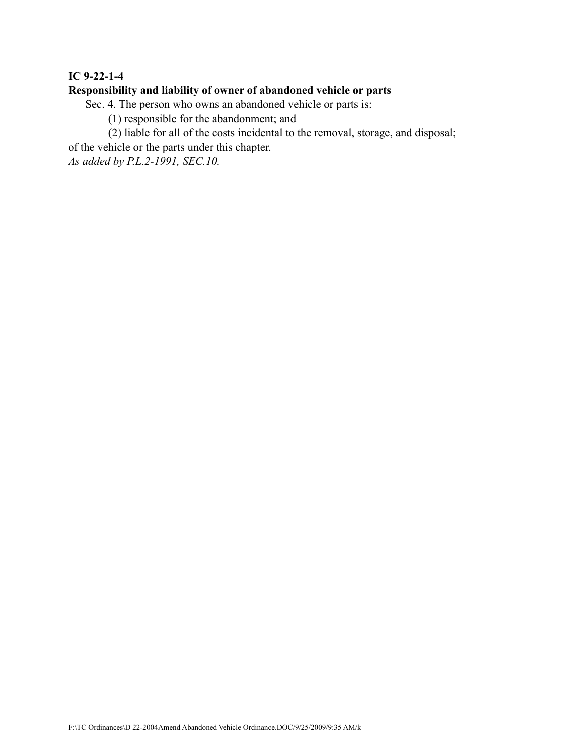## **Responsibility and liability of owner of abandoned vehicle or parts**

Sec. 4. The person who owns an abandoned vehicle or parts is:

(1) responsible for the abandonment; and

(2) liable for all of the costs incidental to the removal, storage, and disposal;

of the vehicle or the parts under this chapter.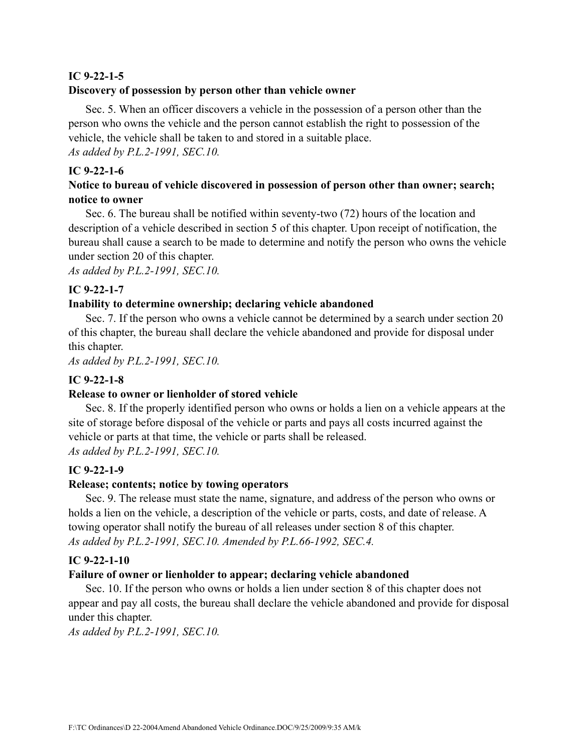### **Discovery of possession by person other than vehicle owner**

Sec. 5. When an officer discovers a vehicle in the possession of a person other than the person who owns the vehicle and the person cannot establish the right to possession of the vehicle, the vehicle shall be taken to and stored in a suitable place. *As added by P.L.2-1991, SEC.10.*

#### **IC 9-22-1-6**

### **Notice to bureau of vehicle discovered in possession of person other than owner; search; notice to owner**

Sec. 6. The bureau shall be notified within seventy-two (72) hours of the location and description of a vehicle described in section 5 of this chapter. Upon receipt of notification, the bureau shall cause a search to be made to determine and notify the person who owns the vehicle under section 20 of this chapter.

*As added by P.L.2-1991, SEC.10.*

## **IC 9-22-1-7**

### **Inability to determine ownership; declaring vehicle abandoned**

Sec. 7. If the person who owns a vehicle cannot be determined by a search under section 20 of this chapter, the bureau shall declare the vehicle abandoned and provide for disposal under this chapter.

*As added by P.L.2-1991, SEC.10.*

#### **IC 9-22-1-8**

#### **Release to owner or lienholder of stored vehicle**

Sec. 8. If the properly identified person who owns or holds a lien on a vehicle appears at the site of storage before disposal of the vehicle or parts and pays all costs incurred against the vehicle or parts at that time, the vehicle or parts shall be released.

*As added by P.L.2-1991, SEC.10.*

## **IC 9-22-1-9**

#### **Release; contents; notice by towing operators**

Sec. 9. The release must state the name, signature, and address of the person who owns or holds a lien on the vehicle, a description of the vehicle or parts, costs, and date of release. A towing operator shall notify the bureau of all releases under section 8 of this chapter. *As added by P.L.2-1991, SEC.10. Amended by P.L.66-1992, SEC.4.*

#### **IC 9-22-1-10**

#### **Failure of owner or lienholder to appear; declaring vehicle abandoned**

Sec. 10. If the person who owns or holds a lien under section 8 of this chapter does not appear and pay all costs, the bureau shall declare the vehicle abandoned and provide for disposal under this chapter.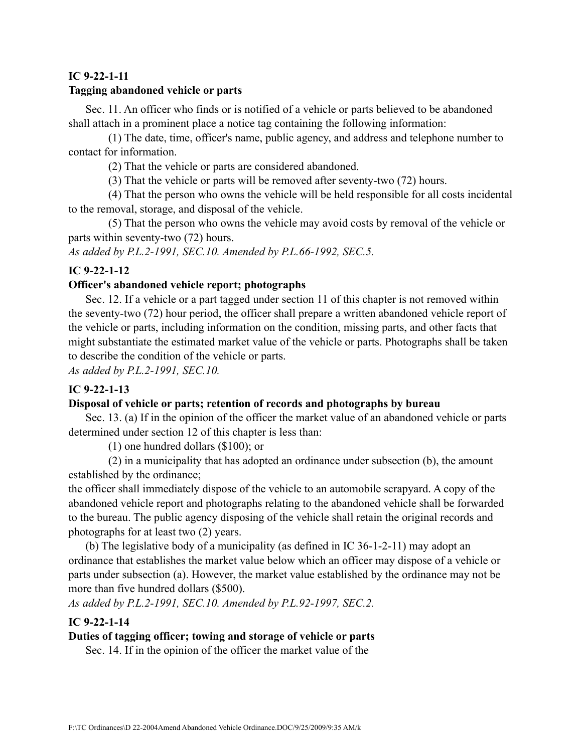#### **Tagging abandoned vehicle or parts**

Sec. 11. An officer who finds or is notified of a vehicle or parts believed to be abandoned shall attach in a prominent place a notice tag containing the following information:

 (1) The date, time, officer's name, public agency, and address and telephone number to contact for information.

(2) That the vehicle or parts are considered abandoned.

(3) That the vehicle or parts will be removed after seventy-two (72) hours.

 (4) That the person who owns the vehicle will be held responsible for all costs incidental to the removal, storage, and disposal of the vehicle.

 (5) That the person who owns the vehicle may avoid costs by removal of the vehicle or parts within seventy-two (72) hours.

*As added by P.L.2-1991, SEC.10. Amended by P.L.66-1992, SEC.5.*

#### **IC 9-22-1-12**

#### **Officer's abandoned vehicle report; photographs**

Sec. 12. If a vehicle or a part tagged under section 11 of this chapter is not removed within the seventy-two (72) hour period, the officer shall prepare a written abandoned vehicle report of the vehicle or parts, including information on the condition, missing parts, and other facts that might substantiate the estimated market value of the vehicle or parts. Photographs shall be taken to describe the condition of the vehicle or parts.

*As added by P.L.2-1991, SEC.10.*

#### **IC 9-22-1-13**

#### **Disposal of vehicle or parts; retention of records and photographs by bureau**

Sec. 13. (a) If in the opinion of the officer the market value of an abandoned vehicle or parts determined under section 12 of this chapter is less than:

(1) one hundred dollars (\$100); or

 (2) in a municipality that has adopted an ordinance under subsection (b), the amount established by the ordinance;

the officer shall immediately dispose of the vehicle to an automobile scrapyard. A copy of the abandoned vehicle report and photographs relating to the abandoned vehicle shall be forwarded to the bureau. The public agency disposing of the vehicle shall retain the original records and photographs for at least two (2) years.

 (b) The legislative body of a municipality (as defined in IC 36-1-2-11) may adopt an ordinance that establishes the market value below which an officer may dispose of a vehicle or parts under subsection (a). However, the market value established by the ordinance may not be more than five hundred dollars (\$500).

*As added by P.L.2-1991, SEC.10. Amended by P.L.92-1997, SEC.2.*

#### **IC 9-22-1-14**

#### **Duties of tagging officer; towing and storage of vehicle or parts**

Sec. 14. If in the opinion of the officer the market value of the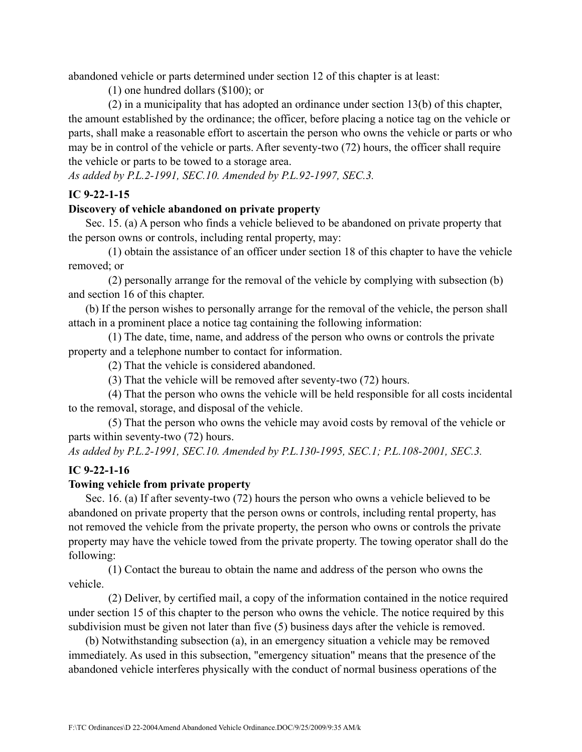abandoned vehicle or parts determined under section 12 of this chapter is at least:

(1) one hundred dollars (\$100); or

 (2) in a municipality that has adopted an ordinance under section 13(b) of this chapter, the amount established by the ordinance; the officer, before placing a notice tag on the vehicle or parts, shall make a reasonable effort to ascertain the person who owns the vehicle or parts or who may be in control of the vehicle or parts. After seventy-two (72) hours, the officer shall require the vehicle or parts to be towed to a storage area.

*As added by P.L.2-1991, SEC.10. Amended by P.L.92-1997, SEC.3.*

## **IC 9-22-1-15**

## **Discovery of vehicle abandoned on private property**

Sec. 15. (a) A person who finds a vehicle believed to be abandoned on private property that the person owns or controls, including rental property, may:

 (1) obtain the assistance of an officer under section 18 of this chapter to have the vehicle removed; or

 (2) personally arrange for the removal of the vehicle by complying with subsection (b) and section 16 of this chapter.

 (b) If the person wishes to personally arrange for the removal of the vehicle, the person shall attach in a prominent place a notice tag containing the following information:

 (1) The date, time, name, and address of the person who owns or controls the private property and a telephone number to contact for information.

(2) That the vehicle is considered abandoned.

(3) That the vehicle will be removed after seventy-two (72) hours.

 (4) That the person who owns the vehicle will be held responsible for all costs incidental to the removal, storage, and disposal of the vehicle.

 (5) That the person who owns the vehicle may avoid costs by removal of the vehicle or parts within seventy-two (72) hours.

*As added by P.L.2-1991, SEC.10. Amended by P.L.130-1995, SEC.1; P.L.108-2001, SEC.3.*

## **IC 9-22-1-16**

## **Towing vehicle from private property**

Sec. 16. (a) If after seventy-two (72) hours the person who owns a vehicle believed to be abandoned on private property that the person owns or controls, including rental property, has not removed the vehicle from the private property, the person who owns or controls the private property may have the vehicle towed from the private property. The towing operator shall do the following:

 (1) Contact the bureau to obtain the name and address of the person who owns the vehicle.

 (2) Deliver, by certified mail, a copy of the information contained in the notice required under section 15 of this chapter to the person who owns the vehicle. The notice required by this subdivision must be given not later than five (5) business days after the vehicle is removed.

 (b) Notwithstanding subsection (a), in an emergency situation a vehicle may be removed immediately. As used in this subsection, "emergency situation" means that the presence of the abandoned vehicle interferes physically with the conduct of normal business operations of the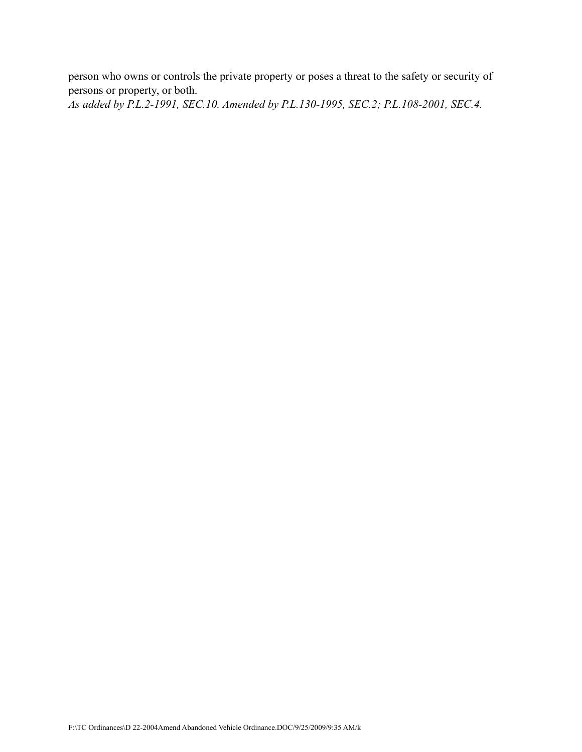person who owns or controls the private property or poses a threat to the safety or security of persons or property, or both.

*As added by P.L.2-1991, SEC.10. Amended by P.L.130-1995, SEC.2; P.L.108-2001, SEC.4.*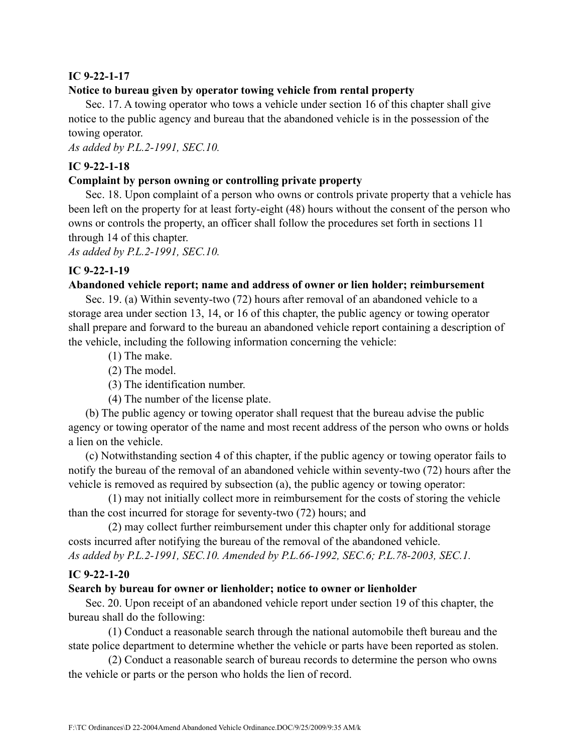### **Notice to bureau given by operator towing vehicle from rental property**

Sec. 17. A towing operator who tows a vehicle under section 16 of this chapter shall give notice to the public agency and bureau that the abandoned vehicle is in the possession of the towing operator.

*As added by P.L.2-1991, SEC.10.*

### **IC 9-22-1-18**

## **Complaint by person owning or controlling private property**

Sec. 18. Upon complaint of a person who owns or controls private property that a vehicle has been left on the property for at least forty-eight (48) hours without the consent of the person who owns or controls the property, an officer shall follow the procedures set forth in sections 11 through 14 of this chapter.

*As added by P.L.2-1991, SEC.10.*

### **IC 9-22-1-19**

### **Abandoned vehicle report; name and address of owner or lien holder; reimbursement**

Sec. 19. (a) Within seventy-two (72) hours after removal of an abandoned vehicle to a storage area under section 13, 14, or 16 of this chapter, the public agency or towing operator shall prepare and forward to the bureau an abandoned vehicle report containing a description of the vehicle, including the following information concerning the vehicle:

- (1) The make.
- (2) The model.
- (3) The identification number.
- (4) The number of the license plate.

 (b) The public agency or towing operator shall request that the bureau advise the public agency or towing operator of the name and most recent address of the person who owns or holds a lien on the vehicle.

 (c) Notwithstanding section 4 of this chapter, if the public agency or towing operator fails to notify the bureau of the removal of an abandoned vehicle within seventy-two (72) hours after the vehicle is removed as required by subsection (a), the public agency or towing operator:

 (1) may not initially collect more in reimbursement for the costs of storing the vehicle than the cost incurred for storage for seventy-two (72) hours; and

 (2) may collect further reimbursement under this chapter only for additional storage costs incurred after notifying the bureau of the removal of the abandoned vehicle. *As added by P.L.2-1991, SEC.10. Amended by P.L.66-1992, SEC.6; P.L.78-2003, SEC.1.*

### **IC 9-22-1-20**

### **Search by bureau for owner or lienholder; notice to owner or lienholder**

Sec. 20. Upon receipt of an abandoned vehicle report under section 19 of this chapter, the bureau shall do the following:

 (1) Conduct a reasonable search through the national automobile theft bureau and the state police department to determine whether the vehicle or parts have been reported as stolen.

 (2) Conduct a reasonable search of bureau records to determine the person who owns the vehicle or parts or the person who holds the lien of record.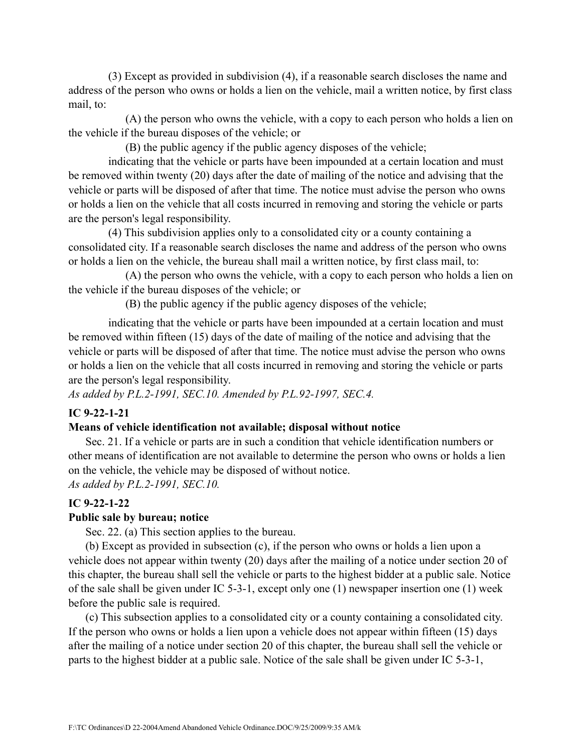(3) Except as provided in subdivision (4), if a reasonable search discloses the name and address of the person who owns or holds a lien on the vehicle, mail a written notice, by first class mail, to:

 (A) the person who owns the vehicle, with a copy to each person who holds a lien on the vehicle if the bureau disposes of the vehicle; or

(B) the public agency if the public agency disposes of the vehicle;

 indicating that the vehicle or parts have been impounded at a certain location and must be removed within twenty (20) days after the date of mailing of the notice and advising that the vehicle or parts will be disposed of after that time. The notice must advise the person who owns or holds a lien on the vehicle that all costs incurred in removing and storing the vehicle or parts are the person's legal responsibility.

 (4) This subdivision applies only to a consolidated city or a county containing a consolidated city. If a reasonable search discloses the name and address of the person who owns or holds a lien on the vehicle, the bureau shall mail a written notice, by first class mail, to:

 (A) the person who owns the vehicle, with a copy to each person who holds a lien on the vehicle if the bureau disposes of the vehicle; or

(B) the public agency if the public agency disposes of the vehicle;

 indicating that the vehicle or parts have been impounded at a certain location and must be removed within fifteen (15) days of the date of mailing of the notice and advising that the vehicle or parts will be disposed of after that time. The notice must advise the person who owns or holds a lien on the vehicle that all costs incurred in removing and storing the vehicle or parts are the person's legal responsibility.

*As added by P.L.2-1991, SEC.10. Amended by P.L.92-1997, SEC.4.*

#### **IC 9-22-1-21**

#### **Means of vehicle identification not available; disposal without notice**

Sec. 21. If a vehicle or parts are in such a condition that vehicle identification numbers or other means of identification are not available to determine the person who owns or holds a lien on the vehicle, the vehicle may be disposed of without notice. *As added by P.L.2-1991, SEC.10.*

#### **IC 9-22-1-22**

#### **Public sale by bureau; notice**

Sec. 22. (a) This section applies to the bureau.

 (b) Except as provided in subsection (c), if the person who owns or holds a lien upon a vehicle does not appear within twenty (20) days after the mailing of a notice under section 20 of this chapter, the bureau shall sell the vehicle or parts to the highest bidder at a public sale. Notice of the sale shall be given under IC 5-3-1, except only one (1) newspaper insertion one (1) week before the public sale is required.

 (c) This subsection applies to a consolidated city or a county containing a consolidated city. If the person who owns or holds a lien upon a vehicle does not appear within fifteen (15) days after the mailing of a notice under section 20 of this chapter, the bureau shall sell the vehicle or parts to the highest bidder at a public sale. Notice of the sale shall be given under IC 5-3-1,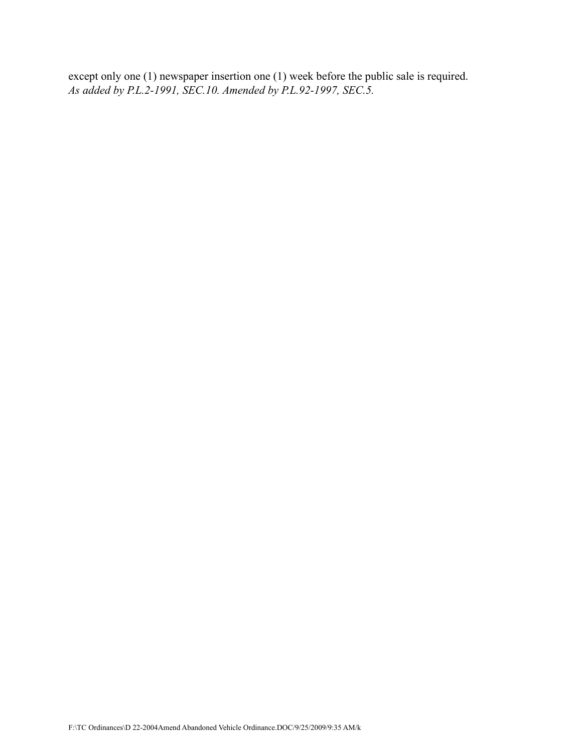except only one (1) newspaper insertion one (1) week before the public sale is required. *As added by P.L.2-1991, SEC.10. Amended by P.L.92-1997, SEC.5.*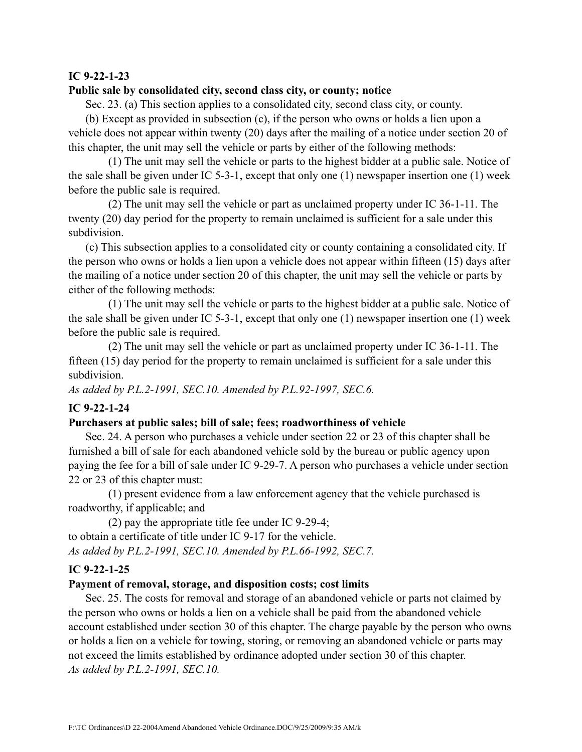#### **Public sale by consolidated city, second class city, or county; notice**

Sec. 23. (a) This section applies to a consolidated city, second class city, or county.

 (b) Except as provided in subsection (c), if the person who owns or holds a lien upon a vehicle does not appear within twenty (20) days after the mailing of a notice under section 20 of this chapter, the unit may sell the vehicle or parts by either of the following methods:

 (1) The unit may sell the vehicle or parts to the highest bidder at a public sale. Notice of the sale shall be given under IC 5-3-1, except that only one (1) newspaper insertion one (1) week before the public sale is required.

 (2) The unit may sell the vehicle or part as unclaimed property under IC 36-1-11. The twenty (20) day period for the property to remain unclaimed is sufficient for a sale under this subdivision.

 (c) This subsection applies to a consolidated city or county containing a consolidated city. If the person who owns or holds a lien upon a vehicle does not appear within fifteen (15) days after the mailing of a notice under section 20 of this chapter, the unit may sell the vehicle or parts by either of the following methods:

 (1) The unit may sell the vehicle or parts to the highest bidder at a public sale. Notice of the sale shall be given under IC 5-3-1, except that only one (1) newspaper insertion one (1) week before the public sale is required.

 (2) The unit may sell the vehicle or part as unclaimed property under IC 36-1-11. The fifteen (15) day period for the property to remain unclaimed is sufficient for a sale under this subdivision.

*As added by P.L.2-1991, SEC.10. Amended by P.L.92-1997, SEC.6.*

### **IC 9-22-1-24**

#### **Purchasers at public sales; bill of sale; fees; roadworthiness of vehicle**

Sec. 24. A person who purchases a vehicle under section 22 or 23 of this chapter shall be furnished a bill of sale for each abandoned vehicle sold by the bureau or public agency upon paying the fee for a bill of sale under IC 9-29-7. A person who purchases a vehicle under section 22 or 23 of this chapter must:

 (1) present evidence from a law enforcement agency that the vehicle purchased is roadworthy, if applicable; and

 (2) pay the appropriate title fee under IC 9-29-4; to obtain a certificate of title under IC 9-17 for the vehicle. *As added by P.L.2-1991, SEC.10. Amended by P.L.66-1992, SEC.7.*

#### **IC 9-22-1-25**

#### **Payment of removal, storage, and disposition costs; cost limits**

Sec. 25. The costs for removal and storage of an abandoned vehicle or parts not claimed by the person who owns or holds a lien on a vehicle shall be paid from the abandoned vehicle account established under section 30 of this chapter. The charge payable by the person who owns or holds a lien on a vehicle for towing, storing, or removing an abandoned vehicle or parts may not exceed the limits established by ordinance adopted under section 30 of this chapter. *As added by P.L.2-1991, SEC.10.*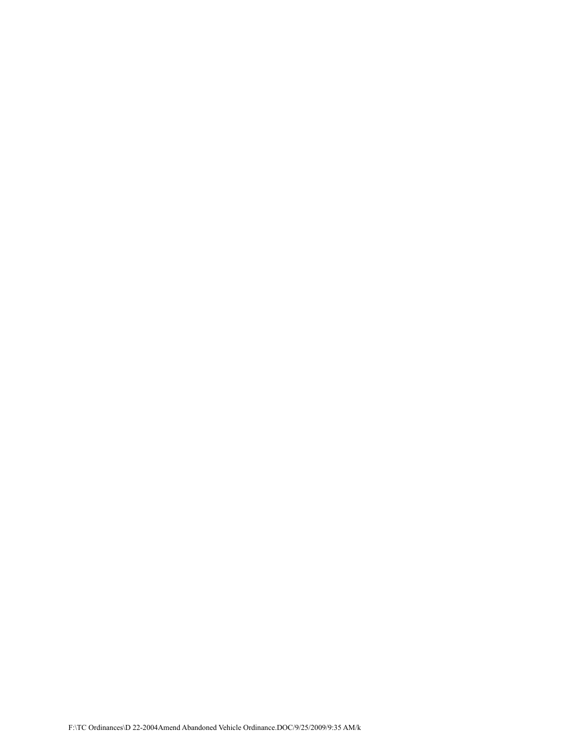F:\TC Ordinances\D 22-2004Amend Abandoned Vehicle Ordinance.DOC/9/25/2009/9:35 AM/k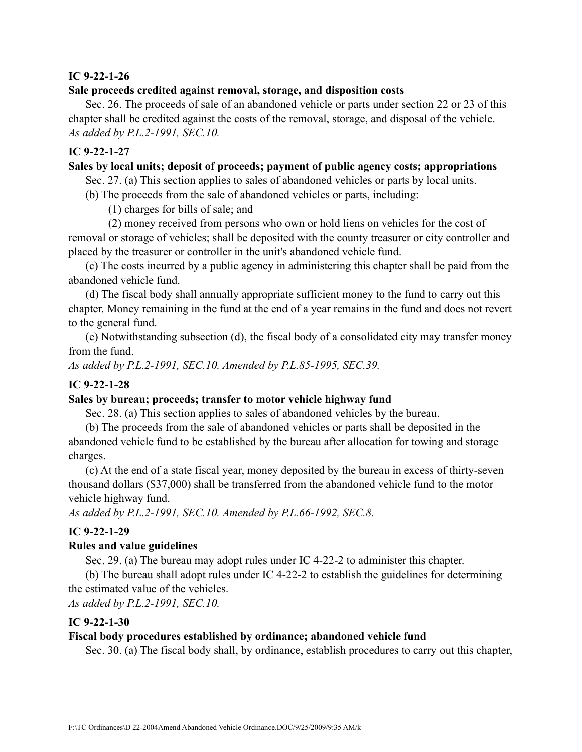### **Sale proceeds credited against removal, storage, and disposition costs**

Sec. 26. The proceeds of sale of an abandoned vehicle or parts under section 22 or 23 of this chapter shall be credited against the costs of the removal, storage, and disposal of the vehicle. *As added by P.L.2-1991, SEC.10.*

### **IC 9-22-1-27**

#### **Sales by local units; deposit of proceeds; payment of public agency costs; appropriations**

Sec. 27. (a) This section applies to sales of abandoned vehicles or parts by local units.

(b) The proceeds from the sale of abandoned vehicles or parts, including:

(1) charges for bills of sale; and

 (2) money received from persons who own or hold liens on vehicles for the cost of removal or storage of vehicles; shall be deposited with the county treasurer or city controller and placed by the treasurer or controller in the unit's abandoned vehicle fund.

 (c) The costs incurred by a public agency in administering this chapter shall be paid from the abandoned vehicle fund.

 (d) The fiscal body shall annually appropriate sufficient money to the fund to carry out this chapter. Money remaining in the fund at the end of a year remains in the fund and does not revert to the general fund.

 (e) Notwithstanding subsection (d), the fiscal body of a consolidated city may transfer money from the fund.

*As added by P.L.2-1991, SEC.10. Amended by P.L.85-1995, SEC.39.*

#### **IC 9-22-1-28**

#### **Sales by bureau; proceeds; transfer to motor vehicle highway fund**

Sec. 28. (a) This section applies to sales of abandoned vehicles by the bureau.

 (b) The proceeds from the sale of abandoned vehicles or parts shall be deposited in the abandoned vehicle fund to be established by the bureau after allocation for towing and storage charges.

 (c) At the end of a state fiscal year, money deposited by the bureau in excess of thirty-seven thousand dollars (\$37,000) shall be transferred from the abandoned vehicle fund to the motor vehicle highway fund.

*As added by P.L.2-1991, SEC.10. Amended by P.L.66-1992, SEC.8.*

### **IC 9-22-1-29**

#### **Rules and value guidelines**

Sec. 29. (a) The bureau may adopt rules under IC 4-22-2 to administer this chapter.

 (b) The bureau shall adopt rules under IC 4-22-2 to establish the guidelines for determining the estimated value of the vehicles.

*As added by P.L.2-1991, SEC.10.*

#### **IC 9-22-1-30**

#### **Fiscal body procedures established by ordinance; abandoned vehicle fund**

Sec. 30. (a) The fiscal body shall, by ordinance, establish procedures to carry out this chapter,